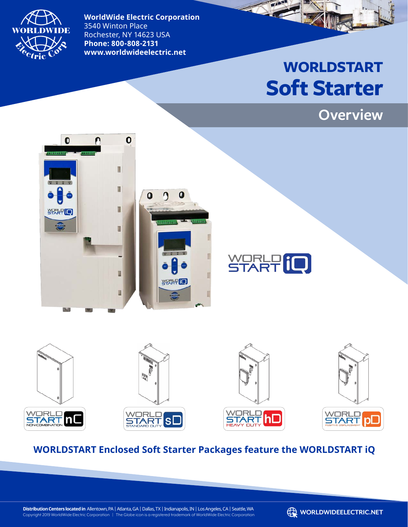

**WorldWide Electric Corporation**  3540 Winton Place Rochester, NY 14623 USA **Phone: 800-808-2131 www.worldwideelectric.net**

# **WORLDSTART Soft Starter**









### **WORLDSTART Enclosed Soft Starter Packages feature the WORLDSTART iQ**

**Distribution Centers located in** Allentown, PA | Atlanta, GA | Dallas, TX | Indianapolis, IN | Los Angeles, CA | Seattle, WA Distribution Centers located in Allentown, PA | Atlanta, GA | Dallas, TX | Indianapolis, IN | Los Angeles, CA | Seattle, WA<br>Copyright 2019 WorldWide Electric Corporation | The Globe icon is a registered trademark of WorldW

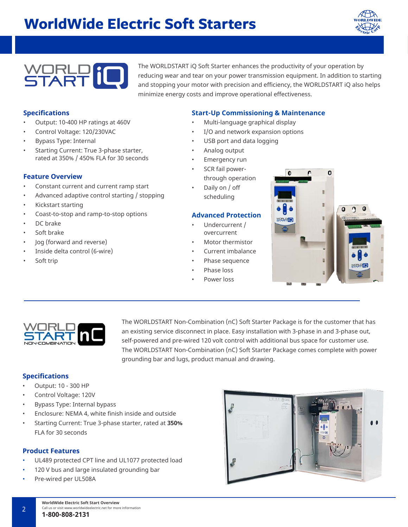### **WorldWide Electric Soft Starters**





The WORLDSTART iQ Soft Starter enhances the productivity of your operation by reducing wear and tear on your power transmission equipment. In addition to starting and stopping your motor with precision and efficiency, the WORLDSTART iQ also helps minimize energy costs and improve operational effectiveness.

#### **Specifications**

- Output: 10-400 HP ratings at 460V
- Control Voltage: 120/230VAC
- Bypass Type: Internal
- Starting Current: True 3-phase starter, rated at 350% / 450% FLA for 30 seconds

#### **Feature Overview**

- Constant current and current ramp start
- Advanced adaptive control starting / stopping
- Kickstart starting
- Coast-to-stop and ramp-to-stop options
- DC brake
- Soft brake
- Jog (forward and reverse)
- Inside delta control (6-wire)
- Soft trip

#### **Start-Up Commissioning & Maintenance**

- Multi-language graphical display
- I/O and network expansion options
- USB port and data logging
- Analog output
- Emergency run
- SCR fail powerthrough operation
- Daily on / off scheduling

#### **Advanced Protection**

- Undercurrent / overcurrent
- Motor thermistor
- Current imbalance
- Phase sequence
- Phase loss
- Power loss





The WORLDSTART Non-Combination (nC) Soft Starter Package is for the customer that has an existing service disconnect in place. Easy installation with 3-phase in and 3-phase out, self-powered and pre-wired 120 volt control with additional bus space for customer use. The WORLDSTART Non-Combination (nC) Soft Starter Package comes complete with power grounding bar and lugs, product manual and drawing.

#### **Specifications**

- Output: 10 300 HP
- Control Voltage: 120V
- Bypass Type: Internal bypass
- Enclosure: NEMA 4, white finish inside and outside
- Starting Current: True 3-phase starter, rated at **350%**  FLA for 30 seconds

#### **Product Features**

- UL489 protected CPT line and UL1077 protected load
- 120 V bus and large insulated grounding bar
- Pre-wired per UL508A

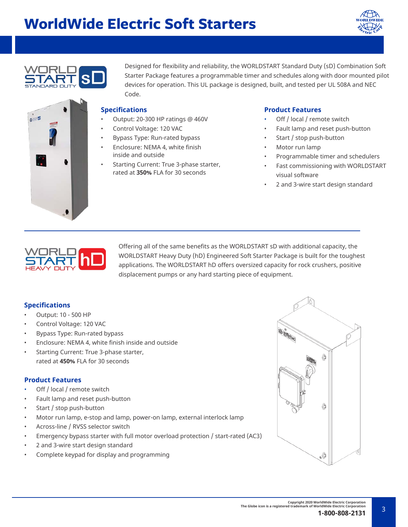### **WorldWide Electric Soft Starters**





e a E

Designed for flexibility and reliability, the WORLDSTART Standard Duty (sD) Combination Soft Starter Package features a programmable timer and schedules along with door mounted pilot devices for operation. This UL package is designed, built, and tested per UL 508A and NEC Code.

#### **Specifications**

- Output: 20-300 HP ratings @ 460V
- Control Voltage: 120 VAC
- Bypass Type: Run-rated bypass
- Enclosure: NEMA 4, white finish inside and outside
- Starting Current: True 3-phase starter, rated at **350%** FLA for 30 seconds

#### **Product Features**

- Off / local / remote switch
- Fault lamp and reset push-button
- Start / stop push-button
- Motor run lamp
- Programmable timer and schedulers
- Fast commissioning with WORLDSTART visual software
- 2 and 3-wire start design standard



Offering all of the same benefits as the WORLDSTART sD with additional capacity, the WORLDSTART Heavy Duty (hD) Engineered Soft Starter Package is built for the toughest applications. The WORLDSTART hD offers oversized capacity for rock crushers, positive displacement pumps or any hard starting piece of equipment.

#### **Specifications**

- Output: 10 500 HP
- Control Voltage: 120 VAC
- Bypass Type: Run-rated bypass
- Enclosure: NEMA 4, white finish inside and outside
- Starting Current: True 3-phase starter, rated at **450%** FLA for 30 seconds

#### **Product Features**

- Off / local / remote switch
- Fault lamp and reset push-button
- Start / stop push-button
- Motor run lamp, e-stop and lamp, power-on lamp, external interlock lamp
- Across-line / RVSS selector switch
- Emergency bypass starter with full motor overload protection / start-rated (AC3)
- 2 and 3-wire start design standard
- Complete keypad for display and programming